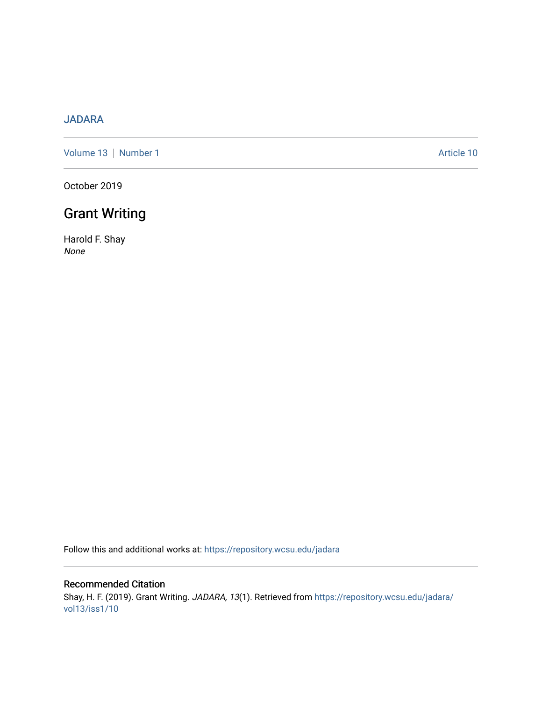## [JADARA](https://repository.wcsu.edu/jadara)

[Volume 13](https://repository.wcsu.edu/jadara/vol13) | [Number 1](https://repository.wcsu.edu/jadara/vol13/iss1) Article 10

October 2019

# Grant Writing

Harold F. Shay None

Follow this and additional works at: [https://repository.wcsu.edu/jadara](https://repository.wcsu.edu/jadara?utm_source=repository.wcsu.edu%2Fjadara%2Fvol13%2Fiss1%2F10&utm_medium=PDF&utm_campaign=PDFCoverPages)

Recommended Citation Shay, H. F. (2019). Grant Writing. JADARA, 13(1). Retrieved from [https://repository.wcsu.edu/jadara/](https://repository.wcsu.edu/jadara/vol13/iss1/10?utm_source=repository.wcsu.edu%2Fjadara%2Fvol13%2Fiss1%2F10&utm_medium=PDF&utm_campaign=PDFCoverPages) [vol13/iss1/10](https://repository.wcsu.edu/jadara/vol13/iss1/10?utm_source=repository.wcsu.edu%2Fjadara%2Fvol13%2Fiss1%2F10&utm_medium=PDF&utm_campaign=PDFCoverPages)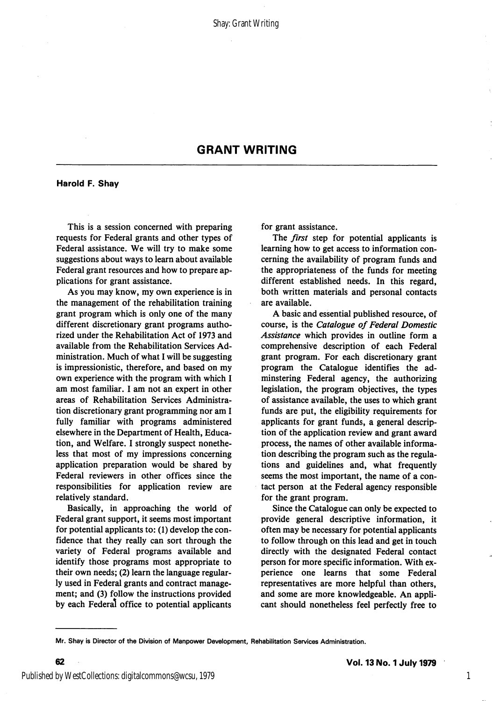## GRANT WRITING

Harold F. Shay

This is a session concerned with preparing requests for Federal grants and other types of Federal assistance. We will try to make some suggestions about ways to learn about available Federal grant resources and how to prepare ap plications for grant assistance.

As you may know, my own experience is in the management of the rehabilitation training grant program which is only one of the many different discretionary grant programs autho rized under the Rehabilitation Act of 1973 and available from the Rehabilitation Services Ad ministration. Much of what I will be suggesting is impressionistic, therefore, and based on my own experience with the program with which I am most familiar. I am not an expert in other areas of Rehabilitation Services Administra tion discretionary grant programming nor am I fully familiar with programs administered elsewhere in the Department of Health, Educa tion, and Welfare. I strongly suspect nonethe less that most of my impressions concerning application preparation would be shared by Federal reviewers in other offices since the responsibilities for application review are relatively standard.

Basically, in approaching the world of Federal grant support, it seems most important for potential applicants to: (1) develop the con fidence that they really can sort through the variety of Federal programs available and identify those programs most appropriate to their own needs; (2) learn the language regular ly used in Federal grants and contract manage ment; and (3) follow the instructions provided by each Federal office to potential applicants for grant assistance.

The *first* step for potential applicants is learning how to get access to information con cerning the availability of program funds and the appropriateness of the funds for meeting different established needs. In this regard, both written materials and personal contacts are available.

A basic and essential published resource, of course, is the Catalogue of Federal Domestic Assistance which provides in outline form a comprehensive description of each Federal grant program. For each discretionary grant program the Catalogue identifies the adminstering Federal agency, the authorizing legislation, the program objectives, the types of assistance available, the uses to which grant funds are put, the eligibility requirements for applicants for grant funds, a general descrip tion of the application review and grant award process, the names of other available informa tion describing the program such as the regula tions and guidelines and, what frequently seems the most important, the name of a con tact person at the Federal agency responsible for the grant program.

Since the Catalogue can only be expected to provide general descriptive information, it often may be necessary for potential applicants to follow through on this lead and get in touch directly with the designated Federal contact person for more specific information. With ex perience one learns that some Federal representatives are more helpful than others, and some are more knowledgeable. An appli cant should nonetheless feel perfectly free to

1

Mr. Shay is Director of the Division of Manpower Development, Rehabilitation Services Administration.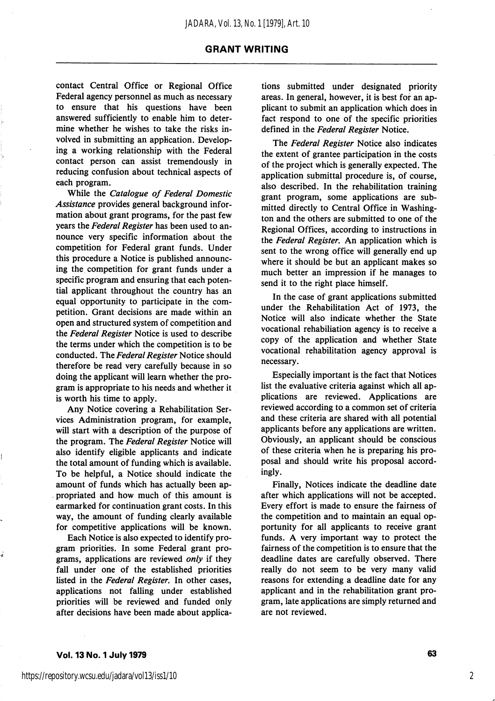#### GRANT WRITING

contact Central Office or Regional Office Federal agency personnel as much as necessary to ensure that his questions have been answered sufficiently to enable him to deter mine whether he wishes to take the risks in volved in submitting an application. Developing a working relationship with the Federal contact person can assist tremendously in reducing confusion about technical aspects of each program.

While the Catalogue of Federal Domestic Assistance provides general background infor mation about grant programs, for the past few years the Federal Register has been used to announce very specific information about the competition for Federal grant funds. Under this procedure a Notice is published announc ing the competition for grant funds under a specific program and ensuring that each poten tial applicant throughout the country has an equal opportunity to participate in the com petition. Grant decisions are made within an open and structured system of competition and the Federal Register Notice is used to describe the terms under which the competition is to be conducted. The Federal Register Notice should therefore be read very carefully because in so doing the applicant will learn whether the pro gram is appropriate to his needs and whether it is worth his time to apply.

Any Notice covering a Rehabilitation Ser vices Administration program, for example, will start with a description of the purpose of the program. The Federal Register Notice will also identify eligible applicants and indicate the total amount of funding which is available. To be helpful, a Notice should indicate the amount of funds which has actually been ap propriated and how much of this amount is earmarked for continuation grant costs. In this way, the amount of funding clearly available for competitive applications will be known.

Each Notice is also expected to identify pro gram priorities. In some Federal grant pro grams, applications are reviewed only if they fall under one of the established priorities listed in the Federal Register, In other cases, applications not falling under established priorities will be reviewed and funded only after decisions have been made about applica

tions submitted under designated priority areas. In general, however, it is best for an ap plicant to submit an application which does in fact respond to one of the specific priorities defined in the Federal Register Notice.

The Federal Register Notice also indicates the extent of grantee participation in the costs of the project which is generally expected. The application submittal procedure is, of course, also described. In the rehabilitation training grant program, some applications are sub mitted directly to Central Office in Washing ton and the others are submitted to one of the Regional Offices, according to instructions in the Federal Register, An application which is sent to the wrong office will generally end up where it should be but an applicant makes so much better an impression if he manages to send it to the right place himself.

In the case of grant applications submitted under the Rehabilitation Act of 1973, the Notice will also indicate whether the State vocational rehabiliation agency is to receive a copy of the application and whether State vocational rehabilitation agency approval is necessary.

Especially important is the fact that Notices list the evaluative criteria against which all ap plications are reviewed. Applications are reviewed according to a common set of criteria and these criteria are shared with all potential applicants before any applications are written. Obviously, an applicant should be conscious of these criteria when he is preparing his pro posal and should write his proposal accord ingly.

Finally, Notices indicate the deadline date after which applications will not be accepted. Every effort is made to ensure the fairness of the competition and to maintain an equal op portunity for all applicants to receive grant funds. A very important way to protect the fairness of the competition is to ensure that the deadline dates are carefully observed. There really do not seem to be very many valid reasons for extending a deadline date for any applicant and in the rehabilitation grant pro gram, late applications are simply returned and are not reviewed.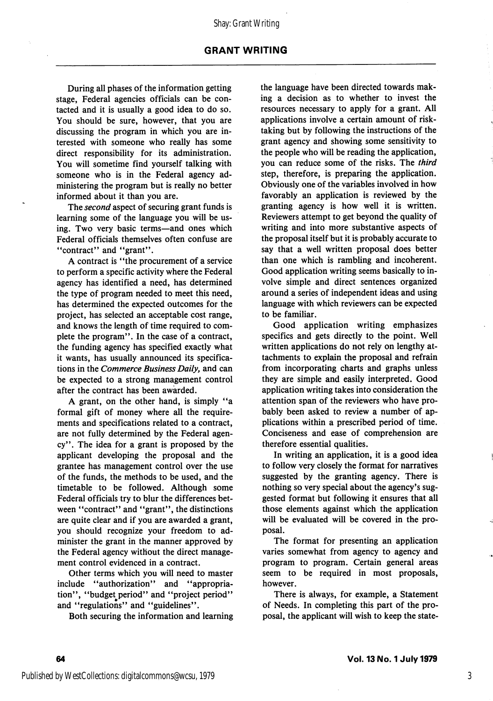### GRANT WRITING

During all phases of the information getting stage, Federal agencies officials can be con tacted and it is usually a good idea to do so. You should be sure, however, that you are discussing the program in which you are in terested with someone who really has some direct responsibility for its administration. You will sometime find yourself talking with someone who is in the Federal agency ad ministering the program but is really no better informed about it than you are.

The *second* aspect of securing grant funds is learning some of the language you will be us ing. Two very basic terms—and ones which Federal officials themselves often confuse are "contract" and "grant".

A contract is "the procurement of a service to perform a specific activity where the Federal agency has identified a need, has determined the type of program needed to meet this need, has determined the expected outcomes for the project, has selected an acceptable cost range, and knows the length of time required to com plete the program". In the case of a contract, the funding agency has specified exactly what it wants, has usually announced its specifica tions in the Commerce Business Daily, and can be expected to a strong management control after the contract has been awarded.

A grant, on the other hand, is simply "a formal gift of money where all the require ments and specifications related to a contract, are not fully determined by the Federal agen cy". The idea for a grant is proposed by the applicant developing the proposal and the grantee has management control over the use of the funds, the methods to be used, and the timetable to be followed. Although some Federal officials try to blur the differences bet ween "contract" and "grant", the distinctions are quite clear and if you are awarded a grant, you should recognize your freedom to ad minister the grant in the manner approved by the Federal agency without the direct manage ment control evidenced in a contract.

Other terms which you will need to master include "authorization" and "appropriation", "budget period" and "project period" and "regulations" and "guidelines".

Both securing the information and learning

the language have been directed towards mak ing a decision as to whether to invest the resources necessary to apply for a grant. All applications involve a certain amount of risktaking but by following the instructions of the grant agency and showing some sensitivity to the people who will be reading the application, you can reduce some of the risks. The third step, therefore, is preparing the application. Obviously one of the variables involved in how favorably an application is reviewed by the granting agency is how well it is written. Reviewers attempt to get beyond the quality of writing and into more substantive aspects of the proposal itself but it is probably accurate to say that a well written proposal does better than one which is rambling and incoherent. Good application writing seems basically to in volve simple and direct sentences organized around a series of independent ideas and using language with which reviewers can be expected to be familiar.

Good application writing emphasizes specifics and gets directly to the point. Well written applications do not rely on lengthy at tachments to explain the proposal and refrain from incorporating charts and graphs unless they are simple and easily interpreted. Good application writing takes into consideration the attention span of the reviewers who have pro bably been asked to review a number of ap plications within a prescribed period of time. Conciseness and ease of comprehension are therefore essential qualities.

In writing an application, it is a good idea to follow very closely the format for narratives suggested by the granting agency. There is nothing so very special about the agency's sug gested format but following it ensures that all those elements against which the application will be evaluated will be covered in the pro posal.

The format for presenting an application varies somewhat from agency to agency and program to program. Certain general areas seem to be required in most proposals, however.

There is always, for example, a Statement of Needs. In completing this part of the pro posal, the applicant will wish to keep the state-

3